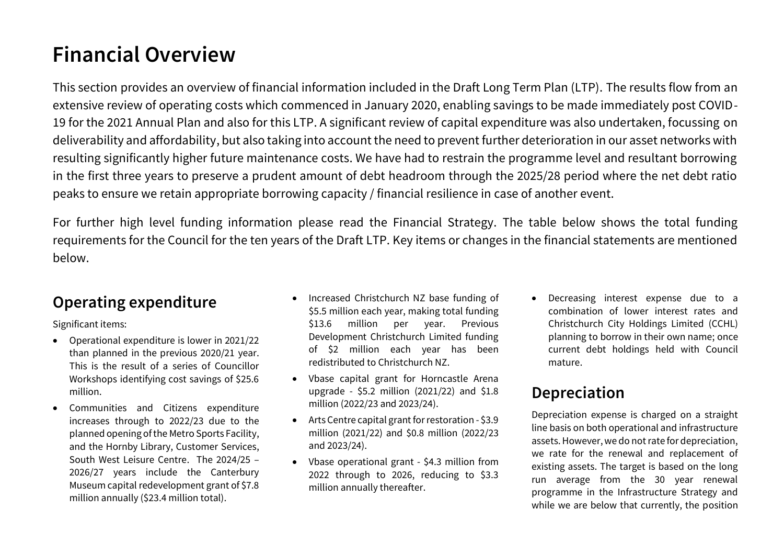# **Financial Overview**

This section provides an overview of financial information included in the Draft Long Term Plan (LTP). The results flow from an extensive review of operating costs which commenced in January 2020, enabling savings to be made immediately post COVID-19 for the 2021 Annual Plan and also for this LTP. A significant review of capital expenditure was also undertaken, focussing on deliverability and affordability, but also taking into account the need to prevent further deterioration in our asset networks with resulting significantly higher future maintenance costs. We have had to restrain the programme level and resultant borrowing in the first three years to preserve a prudent amount of debt headroom through the 2025/28 period where the net debt ratio peaks to ensure we retain appropriate borrowing capacity / financial resilience in case of another event.

For further high level funding information please read the Financial Strategy. The table below shows the total funding requirements for the Council for the ten years of the Draft LTP. Key items or changes in the financial statements are mentioned below.

#### **Operating expenditure**

Significant items:

- Operational expenditure is lower in 2021/22 than planned in the previous 2020/21 year. This is the result of a series of Councillor Workshops identifying cost savings of \$25.6 million.
- Communities and Citizens expenditure increases through to 2022/23 due to the planned opening of the Metro Sports Facility, and the Hornby Library, Customer Services, South West Leisure Centre. The 2024/25 – 2026/27 years include the Canterbury Museum capital redevelopment grant of \$7.8 million annually (\$23.4 million total).
- Increased Christchurch NZ base funding of \$5.5 million each year, making total funding \$13.6 million per year. Previous Development Christchurch Limited funding of \$2 million each year has been redistributed to Christchurch NZ.
- Vbase capital grant for Horncastle Arena upgrade - \$5.2 million (2021/22) and \$1.8 million (2022/23 and 2023/24).
- Arts Centre capital grant for restoration \$3.9 million (2021/22) and \$0.8 million (2022/23 and 2023/24).
- Vbase operational grant \$4.3 million from 2022 through to 2026, reducing to \$3.3 million annually thereafter.

 Decreasing interest expense due to a combination of lower interest rates and Christchurch City Holdings Limited (CCHL) planning to borrow in their own name; once current debt holdings held with Council mature.

### **Depreciation**

Depreciation expense is charged on a straight line basis on both operational and infrastructure assets. However, we do not rate for depreciation, we rate for the renewal and replacement of existing assets. The target is based on the long run average from the 30 year renewal programme in the Infrastructure Strategy and while we are below that currently, the position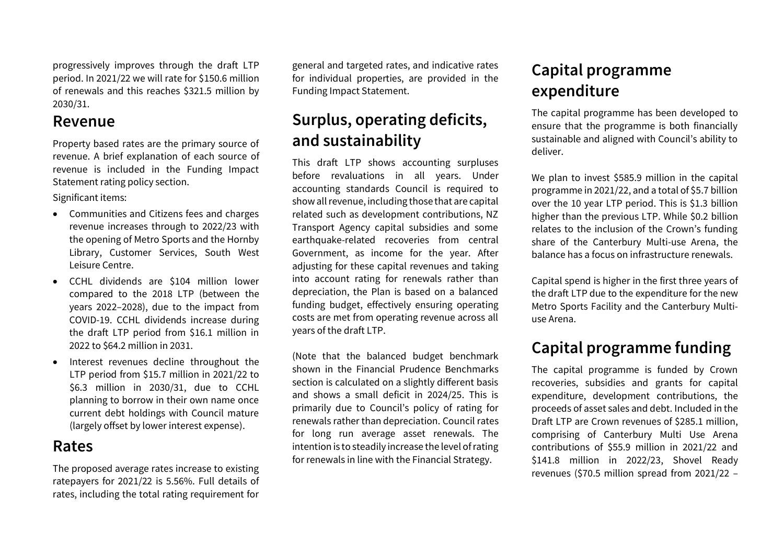progressively improves through the draft LTP period. In 2021/22 we will rate for \$150.6 million of renewals and this reaches \$321.5 million by 2030/31.

#### **Revenue**

Property based rates are the primary source of revenue. A brief explanation of each source of revenue is included in the Funding Impact Statement rating policy section.

Significant items:

- Communities and Citizens fees and charges revenue increases through to 2022/23 with the opening of Metro Sports and the Hornby Library, Customer Services, South West Leisure Centre.
- CCHL dividends are \$104 million lower compared to the 2018 LTP (between the years 2022–2028), due to the impact from COVID-19. CCHL dividends increase during the draft LTP period from \$16.1 million in 2022 to \$64.2 million in 2031.
- Interest revenues decline throughout the LTP period from \$15.7 million in 2021/22 to \$6.3 million in 2030/31, due to CCHL planning to borrow in their own name once current debt holdings with Council mature (largely offset by lower interest expense).

#### **Rates**

The proposed average rates increase to existing ratepayers for 2021/22 is 5.56%. Full details of rates, including the total rating requirement for

general and targeted rates, and indicative rates for individual properties, are provided in the Funding Impact Statement.

### **Surplus, operating deficits, and sustainability**

This draft LTP shows accounting surpluses before revaluations in all years. Under accounting standards Council is required to show all revenue, including those that are capital related such as development contributions, NZ Transport Agency capital subsidies and some earthquake-related recoveries from central Government, as income for the year. After adjusting for these capital revenues and taking into account rating for renewals rather than depreciation, the Plan is based on a balanced funding budget, effectively ensuring operating costs are met from operating revenue across all years of the draft LTP.

(Note that the balanced budget benchmark shown in the Financial Prudence Benchmarks section is calculated on a slightly different basis and shows a small deficit in 2024/25. This is primarily due to Council's policy of rating for renewals rather than depreciation. Council rates for long run average asset renewals. The intention is to steadily increase the level of rating for renewals in line with the Financial Strategy.

### **Capital programme expenditure**

The capital programme has been developed to ensure that the programme is both financially sustainable and aligned with Council's ability to deliver.

We plan to invest \$585.9 million in the capital programme in 2021/22, and a total of \$5.7 billion over the 10 year LTP period. This is \$1.3 billion higher than the previous LTP. While \$0.2 billion relates to the inclusion of the Crown's funding share of the Canterbury Multi-use Arena, the balance has a focus on infrastructure renewals.

Capital spend is higher in the first three years of the draft LTP due to the expenditure for the new Metro Sports Facility and the Canterbury Multiuse Arena.

## **Capital programme funding**

The capital programme is funded by Crown recoveries, subsidies and grants for capital expenditure, development contributions, the proceeds of asset sales and debt. Included in the Draft LTP are Crown revenues of \$285.1 million, comprising of Canterbury Multi Use Arena contributions of \$55.9 million in 2021/22 and \$141.8 million in 2022/23, Shovel Ready revenues (\$70.5 million spread from 2021/22 –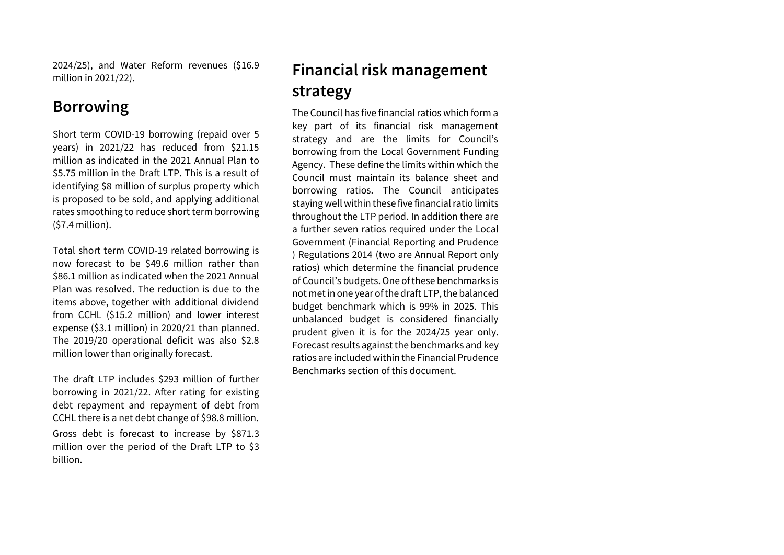2024/25), and Water Reform revenues (\$16.9 million in 2021/22).

#### **Borrowing**

Short term COVID-19 borrowing (repaid over 5 years) in 2021/22 has reduced from \$21.15 million as indicated in the 2021 Annual Plan to \$5.75 million in the Draft LTP. This is a result of identifying \$8 million of surplus property which is proposed to be sold, and applying additional rates smoothing to reduce short term borrowing (\$7.4 million).

Total short term COVID-19 related borrowing is now forecast to be \$49.6 million rather than \$86.1 million as indicated when the 2021 Annual Plan was resolved. The reduction is due to the items above, together with additional dividend from CCHL (\$15.2 million) and lower interest expense (\$3.1 million) in 2020/21 than planned. The 2019/20 operational deficit was also \$2.8 million lower than originally forecast.

The draft LTP includes \$293 million of further borrowing in 2021/22. After rating for existing debt repayment and repayment of debt from CCHL there is a net debt change of \$98.8 million.

Gross debt is forecast to increase by \$871.3 million over the period of the Draft LTP to \$3 billion.

# **Financial risk management strategy**

The Council has five financial ratios which form a key part of its financial risk management strategy and are the limits for Council's borrowing from the Local Government Funding Agency. These define the limits within which the Council must maintain its balance sheet and borrowing ratios. The Council anticipates staying well within these five financial ratio limits throughout the LTP period. In addition there are a further seven ratios required under the Local Government (Financial Reporting and Prudence ) Regulations 2014 (two are Annual Report only ratios) which determine the financial prudence of Council's budgets. One of these benchmarks is not met in one year of the draft LTP, the balanced budget benchmark which is 99% in 2025. This unbalanced budget is considered financially prudent given it is for the 2024/25 year only. Forecast results against the benchmarks and key ratios are included within the Financial Prudence Benchmarks section of this document.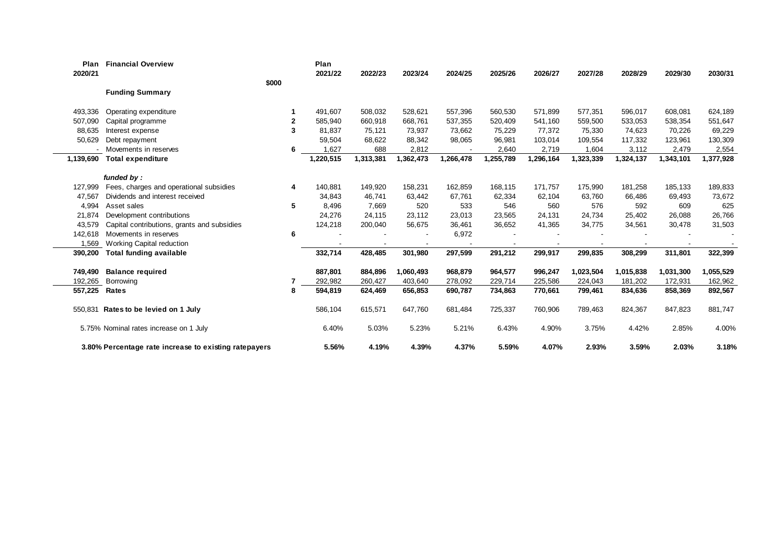| Plan<br>2020/21 | <b>Financial Overview</b>                             |       | Plan<br>2021/22 | 2022/23   | 2023/24   | 2024/25   | 2025/26   | 2026/27   | 2027/28   | 2028/29   | 2029/30   | 2030/31   |
|-----------------|-------------------------------------------------------|-------|-----------------|-----------|-----------|-----------|-----------|-----------|-----------|-----------|-----------|-----------|
|                 |                                                       | \$000 |                 |           |           |           |           |           |           |           |           |           |
|                 | <b>Funding Summary</b>                                |       |                 |           |           |           |           |           |           |           |           |           |
| 493,336         | Operating expenditure                                 |       | 491,607         | 508,032   | 528,621   | 557,396   | 560,530   | 571,899   | 577,351   | 596,017   | 608,081   | 624,189   |
| 507,090         | Capital programme                                     | 2     | 585,940         | 660,918   | 668,761   | 537,355   | 520,409   | 541,160   | 559,500   | 533,053   | 538,354   | 551,647   |
| 88,635          | Interest expense                                      | 3     | 81.837          | 75,121    | 73,937    | 73,662    | 75,229    | 77,372    | 75,330    | 74,623    | 70,226    | 69,229    |
| 50,629          | Debt repayment                                        |       | 59,504          | 68,622    | 88,342    | 98,065    | 96,981    | 103,014   | 109,554   | 117,332   | 123,961   | 130,309   |
|                 | Movements in reserves                                 | 6     | 1,627           | 688       | 2,812     |           | 2,640     | 2,719     | 1,604     | 3,112     | 2,479     | 2,554     |
| 1,139,690       | <b>Total expenditure</b>                              |       | 1,220,515       | 1,313,381 | 1,362,473 | 1,266,478 | 1,255,789 | 1,296,164 | 1,323,339 | 1,324,137 | 1,343,101 | 1,377,928 |
|                 | funded by:                                            |       |                 |           |           |           |           |           |           |           |           |           |
| 127,999         | Fees, charges and operational subsidies               | 4     | 140,881         | 149,920   | 158,231   | 162,859   | 168,115   | 171,757   | 175,990   | 181,258   | 185,133   | 189,833   |
| 47,567          | Dividends and interest received                       |       | 34,843          | 46,741    | 63,442    | 67,761    | 62,334    | 62,104    | 63,760    | 66,486    | 69,493    | 73,672    |
| 4,994           | Asset sales                                           | 5     | 8.496           | 7.669     | 520       | 533       | 546       | 560       | 576       | 592       | 609       | 625       |
| 21,874          | Development contributions                             |       | 24,276          | 24,115    | 23,112    | 23,013    | 23,565    | 24,131    | 24,734    | 25,402    | 26,088    | 26,766    |
| 43,579          | Capital contributions, grants and subsidies           |       | 124,218         | 200,040   | 56,675    | 36,461    | 36,652    | 41,365    | 34,775    | 34,561    | 30,478    | 31,503    |
| 142,618         | Movements in reserves                                 | 6     |                 |           |           | 6,972     |           |           |           |           |           |           |
| 1,569           | <b>Working Capital reduction</b>                      |       |                 |           |           |           |           |           |           |           |           |           |
| 390,200         | <b>Total funding available</b>                        |       | 332,714         | 428,485   | 301,980   | 297,599   | 291,212   | 299,917   | 299,835   | 308,299   | 311,801   | 322,399   |
|                 |                                                       |       |                 |           |           |           |           |           |           |           |           |           |
| 749,490         | <b>Balance required</b>                               |       | 887,801         | 884,896   | 1,060,493 | 968,879   | 964,577   | 996,247   | 1,023,504 | 1,015,838 | 1,031,300 | 1,055,529 |
| 192,265         | Borrowing                                             |       | 292,982         | 260,427   | 403,640   | 278,092   | 229,714   | 225,586   | 224,043   | 181,202   | 172,931   | 162,962   |
| 557,225         | Rates                                                 | 8     | 594,819         | 624,469   | 656,853   | 690,787   | 734,863   | 770,661   | 799,461   | 834,636   | 858,369   | 892,567   |
|                 | 550,831 Rates to be levied on 1 July                  |       | 586,104         | 615,571   | 647,760   | 681,484   | 725,337   | 760,906   | 789,463   | 824,367   | 847,823   | 881,747   |
|                 | 5.75% Nominal rates increase on 1 July                |       | 6.40%           | 5.03%     | 5.23%     | 5.21%     | 6.43%     | 4.90%     | 3.75%     | 4.42%     | 2.85%     | 4.00%     |
|                 | 3.80% Percentage rate increase to existing ratepayers |       | 5.56%           | 4.19%     | 4.39%     | 4.37%     | 5.59%     | 4.07%     | 2.93%     | 3.59%     | 2.03%     | 3.18%     |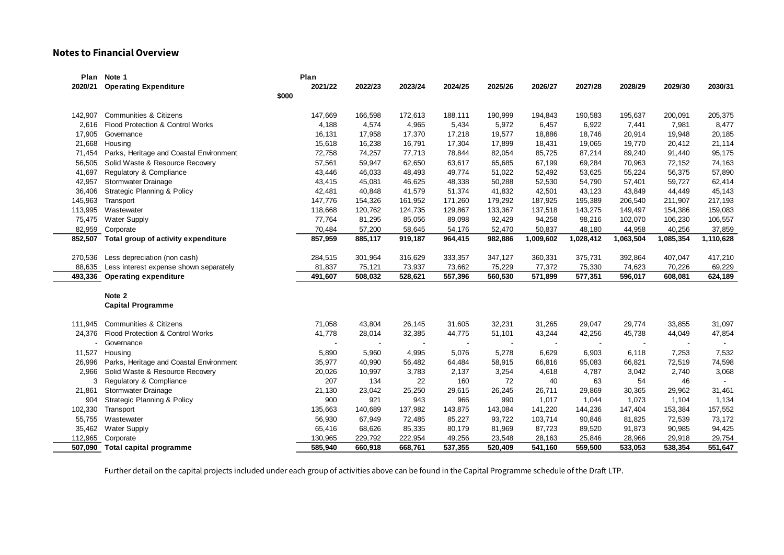#### **Notes to Financial Overview**

|         | Plan Note 1                                 | Plan    |         |         |         |         |           |           |           |           |                |
|---------|---------------------------------------------|---------|---------|---------|---------|---------|-----------|-----------|-----------|-----------|----------------|
| 2020/21 | <b>Operating Expenditure</b>                | 2021/22 | 2022/23 | 2023/24 | 2024/25 | 2025/26 | 2026/27   | 2027/28   | 2028/29   | 2029/30   | 2030/31        |
|         | \$000                                       |         |         |         |         |         |           |           |           |           |                |
| 142,907 | Communities & Citizens                      | 147,669 | 166,598 | 172,613 | 188,111 | 190,999 | 194,843   | 190,583   | 195,637   | 200,091   | 205,375        |
| 2.616   | Flood Protection & Control Works            | 4,188   | 4,574   | 4,965   | 5,434   | 5,972   | 6,457     | 6,922     | 7,441     | 7,981     | 8,477          |
| 17,905  | Governance                                  | 16,131  | 17,958  | 17,370  | 17,218  | 19,577  | 18,886    | 18,746    | 20,914    | 19,948    | 20,185         |
| 21,668  | Housing                                     | 15,618  | 16,238  | 16,791  | 17,304  | 17,899  | 18,431    | 19,065    | 19,770    | 20,412    | 21,114         |
| 71,454  | Parks, Heritage and Coastal Environment     | 72,758  | 74,257  | 77,713  | 78,844  | 82,054  | 85,725    | 87,214    | 89,240    | 91,440    | 95,175         |
| 56,505  | Solid Waste & Resource Recovery             | 57,561  | 59,947  | 62,650  | 63,617  | 65,685  | 67,199    | 69,284    | 70,963    | 72,152    | 74,163         |
| 41,697  | Regulatory & Compliance                     | 43,446  | 46,033  | 48,493  | 49,774  | 51,022  | 52,492    | 53,625    | 55,224    | 56,375    | 57,890         |
| 42,957  | <b>Stormwater Drainage</b>                  | 43,415  | 45,081  | 46,625  | 48,338  | 50,288  | 52,530    | 54,790    | 57,401    | 59,727    | 62,414         |
| 36,406  | Strategic Planning & Policy                 | 42,481  | 40,848  | 41,579  | 51,374  | 41,832  | 42,501    | 43,123    | 43,849    | 44,449    | 45,143         |
| 145,963 | Transport                                   | 147,776 | 154,326 | 161,952 | 171,260 | 179,292 | 187,925   | 195,389   | 206,540   | 211,907   | 217,193        |
| 113,995 | Wastewater                                  | 118,668 | 120,762 | 124,735 | 129,867 | 133,367 | 137,518   | 143,275   | 149,497   | 154,386   | 159,083        |
| 75,475  | <b>Water Supply</b>                         | 77,764  | 81,295  | 85,056  | 89,098  | 92,429  | 94,258    | 98,216    | 102,070   | 106,230   | 106,557        |
|         | 82,959 Corporate                            | 70,484  | 57,200  | 58,645  | 54,176  | 52,470  | 50,837    | 48,180    | 44,958    | 40,256    | 37,859         |
|         | 852,507 Total group of activity expenditure | 857,959 | 885,117 | 919,187 | 964,415 | 982,886 | 1,009,602 | 1,028,412 | 1,063,504 | 1,085,354 | 1,110,628      |
| 270,536 | Less depreciation (non cash)                | 284,515 | 301,964 | 316,629 | 333,357 | 347,127 | 360,331   | 375,731   | 392,864   | 407,047   | 417,210        |
| 88,635  | Less interest expense shown separately      | 81,837  | 75,121  | 73,937  | 73,662  | 75,229  | 77,372    | 75,330    | 74,623    | 70,226    | 69,229         |
| 493,336 | <b>Operating expenditure</b>                | 491,607 | 508,032 | 528,621 | 557,396 | 560,530 | 571,899   | 577,351   | 596,017   | 608,081   | 624,189        |
|         |                                             |         |         |         |         |         |           |           |           |           |                |
|         | Note 2                                      |         |         |         |         |         |           |           |           |           |                |
|         | <b>Capital Programme</b>                    |         |         |         |         |         |           |           |           |           |                |
| 111.945 | <b>Communities &amp; Citizens</b>           | 71,058  | 43,804  | 26,145  | 31,605  | 32,231  | 31,265    | 29,047    | 29,774    | 33,855    | 31,097         |
|         | 24,376 Flood Protection & Control Works     | 41,778  | 28,014  | 32,385  | 44,775  | 51,101  | 43,244    | 42,256    | 45,738    | 44,049    | 47,854         |
|         | - Governance                                |         |         |         |         |         |           |           |           |           |                |
| 11,527  | Housing                                     | 5,890   | 5,960   | 4,995   | 5,076   | 5,278   | 6,629     | 6,903     | 6,118     | 7,253     | 7,532          |
| 26,996  | Parks, Heritage and Coastal Environment     | 35,977  | 40,990  | 56,482  | 64,484  | 58,915  | 66,816    | 95,083    | 66,821    | 72,519    | 74,598         |
| 2,966   | Solid Waste & Resource Recovery             | 20,026  | 10,997  | 3,783   | 2,137   | 3,254   | 4,618     | 4,787     | 3,042     | 2,740     | 3,068          |
| 3       | Regulatory & Compliance                     | 207     | 134     | 22      | 160     | 72      | 40        | 63        | 54        | 46        | $\blacksquare$ |
| 21,861  | Stormwater Drainage                         | 21,130  | 23,042  | 25,250  | 29,615  | 26,245  | 26,711    | 29,869    | 30,365    | 29,962    | 31,461         |
| 904     | Strategic Planning & Policy                 | 900     | 921     | 943     | 966     | 990     | 1,017     | 1,044     | 1,073     | 1,104     | 1,134          |
| 102,330 | Transport                                   | 135,663 | 140,689 | 137,982 | 143,875 | 143,084 | 141,220   | 144,236   | 147,404   | 153,384   | 157,552        |
| 55.755  | Wastewater                                  | 56,930  | 67,949  | 72,485  | 85,227  | 93,722  | 103,714   | 90,846    | 81,825    | 72,539    | 73,172         |
| 35,462  | <b>Water Supply</b>                         | 65,416  | 68,626  | 85,335  | 80,179  | 81,969  | 87,723    | 89,520    | 91,873    | 90,985    | 94,425         |
| 112,965 | Corporate                                   | 130,965 | 229,792 | 222,954 | 49,256  | 23,548  | 28,163    | 25,846    | 28,966    | 29,918    | 29,754         |
| 507,090 | Total capital programme                     | 585.940 | 660,918 | 668,761 | 537,355 | 520,409 | 541,160   | 559,500   | 533,053   | 538,354   | 551,647        |

Further detail on the capital projects included under each group of activities above can be found in the Capital Programme schedule of the Draft LTP.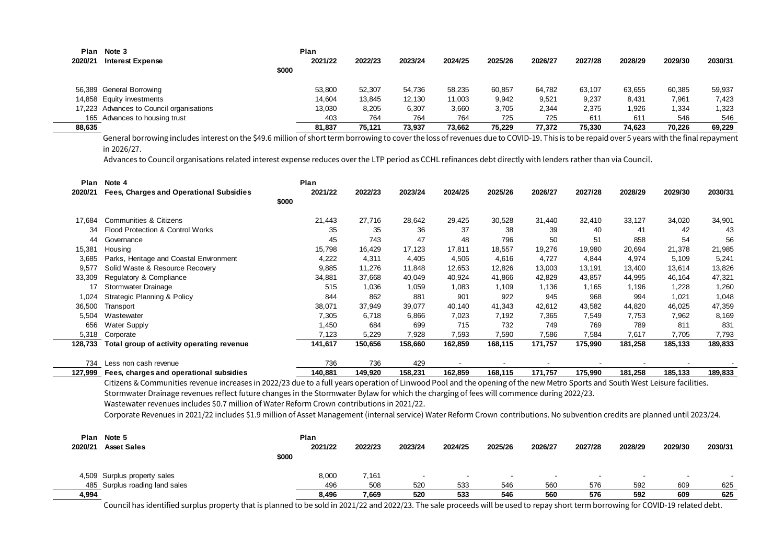|         | Plan Note 3                              |       | Plan    |         |         |         |         |         |         |         |         |         |
|---------|------------------------------------------|-------|---------|---------|---------|---------|---------|---------|---------|---------|---------|---------|
| 2020/21 | <b>Interest Expense</b>                  |       | 2021/22 | 2022/23 | 2023/24 | 2024/25 | 2025/26 | 2026/27 | 2027/28 | 2028/29 | 2029/30 | 2030/31 |
|         |                                          | \$000 |         |         |         |         |         |         |         |         |         |         |
|         | 56,389 General Borrowing                 |       | 53,800  | 52,307  | 54.736  | 58,235  | 60.857  | 64,782  | 63.107  | 63,655  | 60,385  | 59,937  |
|         | 14,858 Equity investments                |       | 14,604  | 13,845  | 12,130  | 11,003  | 9,942   | 9,521   | 9,237   | 8,431   | 7,961   | 7,423   |
|         | 17,223 Advances to Council organisations |       | 13,030  | 8,205   | 6.307   | 3,660   | 3.705   | 2.344   | 2.375   | 1,926   | 1,334   | 1,323   |
|         | 165 Advances to housing trust            |       | 403     | 764     | 764     | 764     | 725     | 725     | 611     | 61'     | 546     | 546     |
| 88,635  |                                          |       | 81,837  | 75.121  | 73.937  | 73.662  | 75.229  | 77.372  | 75.330  | 74,623  | 70.226  | 69,229  |

General borrowing includes interest on the \$49.6 million of short term borrowing to cover the loss of revenues due to COVID-19. This is to be repaid over 5 years with the final repayment in 2026/27.

Advances to Council organisations related interest expense reduces over the LTP period as CCHL refinances debt directly with lenders rather than via Council.

| Plan    | Note 4                                                                                                                                                                         | Plan    |         |         |         |         |         |         |         |         |         |
|---------|--------------------------------------------------------------------------------------------------------------------------------------------------------------------------------|---------|---------|---------|---------|---------|---------|---------|---------|---------|---------|
| 2020/21 | Fees, Charges and Operational Subsidies                                                                                                                                        | 2021/22 | 2022/23 | 2023/24 | 2024/25 | 2025/26 | 2026/27 | 2027/28 | 2028/29 | 2029/30 | 2030/31 |
|         | \$000                                                                                                                                                                          |         |         |         |         |         |         |         |         |         |         |
| 17.684  | <b>Communities &amp; Citizens</b>                                                                                                                                              | 21,443  | 27,716  | 28,642  | 29,425  | 30,528  | 31,440  | 32,410  | 33,127  | 34,020  | 34,901  |
| 34      | Flood Protection & Control Works                                                                                                                                               | 35      | 35      | 36      | 37      | 38      | 39      | 40      | 41      | 42      | 43      |
| 44      | Governance                                                                                                                                                                     | 45      | 743     | 47      | 48      | 796     | 50      | 51      | 858     | 54      | 56      |
| 15,381  | Housing                                                                                                                                                                        | 15,798  | 16.429  | 17,123  | 17,811  | 18,557  | 19,276  | 19,980  | 20,694  | 21,378  | 21,985  |
| 3,685   | Parks, Heritage and Coastal Environment                                                                                                                                        | 4,222   | 4,311   | 4,405   | 4,506   | 4,616   | 4,727   | 4,844   | 4,974   | 5,109   | 5,241   |
| 9,577   | Solid Waste & Resource Recovery                                                                                                                                                | 9,885   | 11,276  | 11,848  | 12,653  | 12,826  | 13,003  | 13,191  | 13,400  | 13,614  | 13,826  |
| 33,309  | Regulatory & Compliance                                                                                                                                                        | 34,881  | 37,668  | 40,049  | 40,924  | 41,866  | 42,829  | 43,857  | 44,995  | 46,164  | 47,321  |
| 17      | Stormwater Drainage                                                                                                                                                            | 515     | 1,036   | 1,059   | 1,083   | 1,109   | 1,136   | 1,165   | 1,196   | 1,228   | 1,260   |
| 1,024   | Strategic Planning & Policy                                                                                                                                                    | 844     | 862     | 881     | 901     | 922     | 945     | 968     | 994     | 1,021   | 1,048   |
| 36,500  | Transport                                                                                                                                                                      | 38,071  | 37,949  | 39,077  | 40,140  | 41,343  | 42,612  | 43,582  | 44,820  | 46,025  | 47,359  |
| 5.504   | Wastewater                                                                                                                                                                     | 7,305   | 6,718   | 6,866   | 7,023   | 7,192   | 7,365   | 7,549   | 7,753   | 7,962   | 8,169   |
| 656     | <b>Water Supply</b>                                                                                                                                                            | 1,450   | 684     | 699     | 715     | 732     | 749     | 769     | 789     | 811     | 831     |
| 5,318   | Corporate                                                                                                                                                                      | 7,123   | 5,229   | 7,928   | 7,593   | 7,590   | 7,586   | 7,584   | 7,617   | 7,705   | 7,793   |
| 128,733 | Total group of activity operating revenue                                                                                                                                      | 141,617 | 150,656 | 158,660 | 162,859 | 168,115 | 171,757 | 175,990 | 181,258 | 185,133 | 189,833 |
| 734     | Less non cash revenue                                                                                                                                                          | 736     | 736     | 429     |         |         |         |         |         |         |         |
| 127,999 | Fees, charges and operational subsidies                                                                                                                                        | 140.881 | 149.920 | 158.231 | 162.859 | 168.115 | 171.757 | 175,990 | 181.258 | 185,133 | 189,833 |
|         | Citizens & Communities revenue increases in 2022/23 due to a full years operation of Linwood Pool and the opening of the new Metro Sports and South West Leisure facilities.   |         |         |         |         |         |         |         |         |         |         |
|         | Stormwater Drainage revenues reflect future changes in the Stormwater Bylaw for which the charging of fees will commence during 2022/23.                                       |         |         |         |         |         |         |         |         |         |         |
|         | Wastewater revenues includes \$0.7 million of Water Reform Crown contributions in 2021/22.                                                                                     |         |         |         |         |         |         |         |         |         |         |
|         | Corporate Revenues in 2021/22 includes \$1.9 million of Asset Management (internal service) Water Reform Crown contributions. No subvention credits are planned until 2023/24. |         |         |         |         |         |         |         |         |         |         |
| Plan    | Note 5                                                                                                                                                                         | Plan    |         |         |         |         |         |         |         |         |         |
| 2020/21 | <b>Asset Sales</b>                                                                                                                                                             | 2021/22 | 2022/23 | 2023/24 | 2024/25 | 2025/26 | 2026/27 | 2027/28 | 2028/29 | 2029/30 | 2030/31 |
|         | \$000                                                                                                                                                                          |         |         |         |         |         |         |         |         |         |         |
|         | 4,509 Surplus property sales                                                                                                                                                   | 8,000   | 7,161   |         |         |         |         |         |         |         |         |
| 485     | Surplus roading land sales                                                                                                                                                     | 496     | 508     | 520     | 533     | 546     | 560     | 576     | 592     | 609     | 625     |
| 4.994   |                                                                                                                                                                                | 8.496   | 7.669   | 520     | 533     | 546     | 560     | 576     | 592     | 609     | 625     |

L.

Council has identified surplus property that is planned to be sold in 2021/22 and 2022/23. The sale proceeds will be used to repay short term borrowing for COVID-19 related debt.